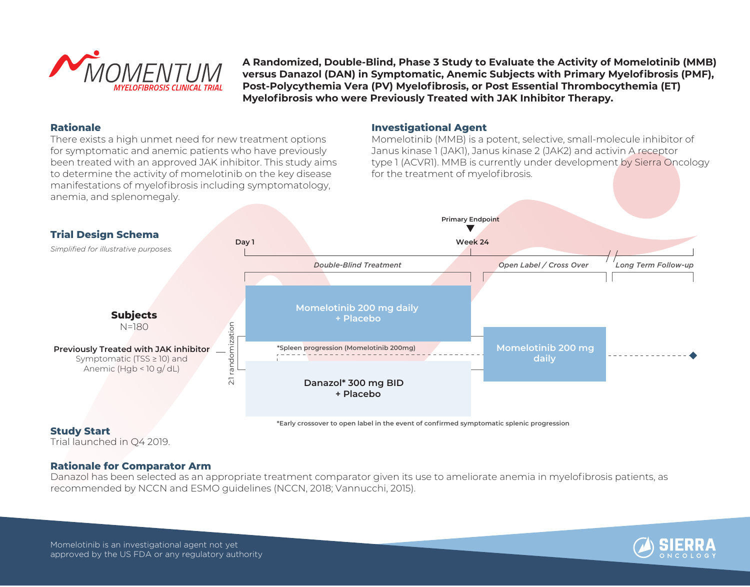

**A Randomized, Double-Blind, Phase 3 Study to Evaluate the Activity of Momelotinib (MMB) versus Danazol (DAN) in Symptomatic, Anemic Subjects with Primary Myelofibrosis (PMF), Post-Polycythemia Vera (PV) Myelofibrosis, or Post Essential Thrombocythemia (ET) Myelofibrosis who were Previously Treated with JAK Inhibitor Therapy.**

There exists a high unmet need for new treatment options for symptomatic and anemic patients who have previously been treated with an approved JAK inhibitor. This study aims to determine the activity of momelotinib on the key disease manifestations of myelofibrosis including symptomatology, anemia, and splenomegaly.

#### **Rationale Investigational Agent**

Momelotinib (MMB) is a potent, selective, small-molecule inhibitor of Janus kinase 1 (JAK1), Janus kinase 2 (JAK2) and activin A receptor type 1 (ACVR1). MMB is currently under development by Sierra Oncology for the treatment of myelofibrosis.



# **Study Start**

Trial launched in Q4 2019.

#### **Rationale for Comparator Arm**

Danazol has been selected as an appropriate treatment comparator given its use to ameliorate anemia in myelofibrosis patients, as recommended by NCCN and ESMO guidelines (NCCN, 2018; Vannucchi, 2015).